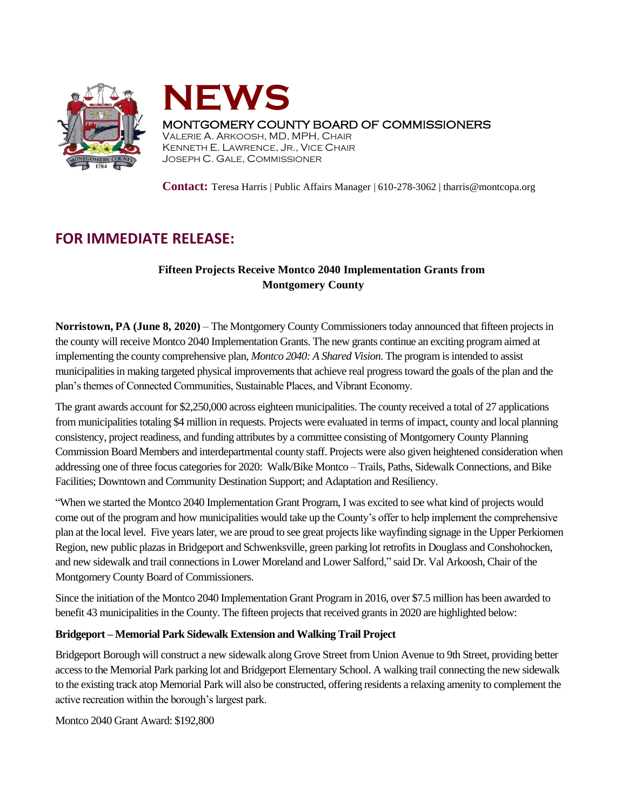



# MONTGOMERY COUNTY BOARD OF COMMISSIONERS

VALERIE A. ARKOOSH, MD, MPH, CHAIR KENNETH E. LAWRENCE, JR., VICE CHAIR JOSEPH C. GALE, COMMISSIONER

**Contact:** Teresa Harris | Public Affairs Manager | 610-278-3062 | tharris@montcopa.org

# **FOR IMMEDIATE RELEASE:**

# **Fifteen Projects Receive Montco 2040 Implementation Grants from Montgomery County**

**Norristown, PA (June 8, 2020)** – The Montgomery County Commissioners today announced that fifteen projects in the county will receive Montco 2040 Implementation Grants. The new grants continue an exciting program aimed at implementing the county comprehensive plan, *Montco 2040: A Shared Vision*. The program is intended to assist municipalities in making targeted physical improvements that achieve real progresstoward the goals of the plan and the plan's themes of Connected Communities, Sustainable Places, and Vibrant Economy.

The grant awards account for \$2,250,000 across eighteen municipalities. The county received a total of 27 applications from municipalities totaling \$4 million in requests. Projects were evaluated in terms of impact, county and local planning consistency, project readiness, and funding attributes by a committee consisting of Montgomery County Planning Commission Board Members and interdepartmental county staff. Projects were also given heightened consideration when addressing one of three focus categories for 2020: Walk/Bike Montco – Trails, Paths, Sidewalk Connections, and Bike Facilities; Downtown and Community Destination Support; and Adaptation and Resiliency.

"When we started the Montco 2040 Implementation Grant Program, I was excited to see what kind of projects would come out of the program and how municipalities would take up the County's offer to help implement the comprehensive plan at the local level. Five years later, we are proud to see great projects like wayfinding signage in the Upper Perkiomen Region, new public plazas in Bridgeport and Schwenksville, green parking lot retrofits in Douglass and Conshohocken, and new sidewalk and trail connections in Lower Moreland and Lower Salford," said Dr. Val Arkoosh, Chair of the Montgomery County Board of Commissioners.

Since the initiation of the Montco 2040 Implementation Grant Program in 2016, over \$7.5 million has been awarded to benefit 43 municipalities in the County. The fifteen projects that received grants in 2020 are highlighted below:

# **Bridgeport – Memorial Park Sidewalk Extension and Walking Trail Project**

Bridgeport Borough will construct a new sidewalk along Grove Street from Union Avenue to 9th Street, providing better access to the Memorial Park parking lot and Bridgeport Elementary School. A walking trail connecting the new sidewalk to the existing track atop Memorial Park will also be constructed, offering residents a relaxing amenity to complement the active recreation within the borough's largest park.

Montco 2040 Grant Award: \$192,800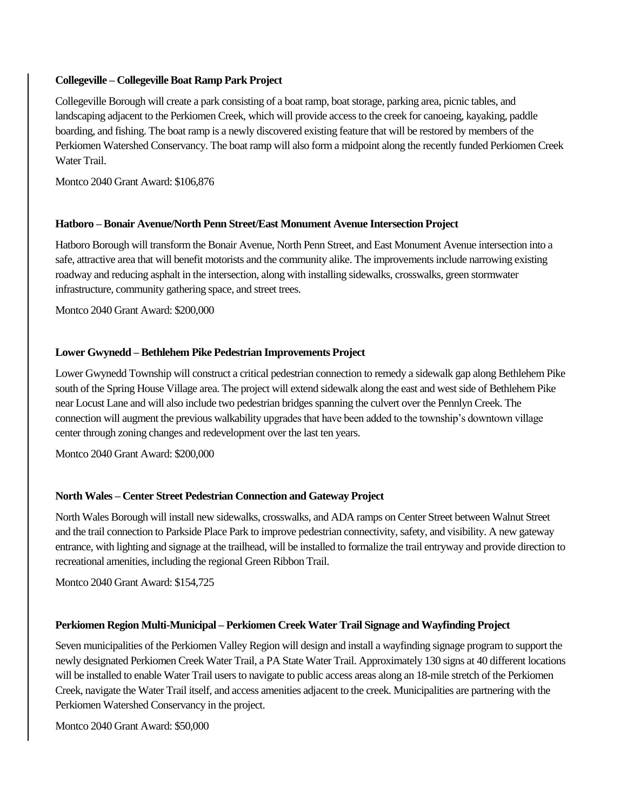#### **Collegeville – Collegeville Boat Ramp Park Project**

Collegeville Borough will create a park consisting of a boat ramp, boat storage, parking area, picnic tables, and landscaping adjacent to the Perkiomen Creek, which will provide access to the creek for canoeing, kayaking, paddle boarding, and fishing. The boat ramp is a newly discovered existing feature that will be restored by members of the Perkiomen Watershed Conservancy. The boat ramp will also form a midpoint along the recently funded Perkiomen Creek Water Trail.

Montco 2040 Grant Award: \$106,876

### **Hatboro – Bonair Avenue/North Penn Street/East Monument Avenue Intersection Project**

Hatboro Borough will transform the Bonair Avenue, North Penn Street, and East Monument Avenue intersection into a safe, attractive area that will benefit motorists and the community alike. The improvements include narrowing existing roadway and reducing asphalt in the intersection, along with installing sidewalks, crosswalks, green stormwater infrastructure, community gathering space, and street trees.

Montco 2040 Grant Award: \$200,000

# **Lower Gwynedd – Bethlehem Pike Pedestrian Improvements Project**

Lower Gwynedd Township will construct a critical pedestrian connection to remedy a sidewalk gap along Bethlehem Pike south of the Spring House Village area. The project will extend sidewalk along the east and west side of Bethlehem Pike near Locust Lane and will also include two pedestrian bridges spanning the culvert over the Pennlyn Creek. The connection will augment the previous walkability upgrades that have been added to the township's downtown village center through zoning changes and redevelopment over the last ten years.

Montco 2040 Grant Award: \$200,000

# **North Wales – Center Street Pedestrian Connection and Gateway Project**

North Wales Borough will install new sidewalks, crosswalks, and ADA ramps on Center Street between Walnut Street and the trail connection to Parkside Place Park to improve pedestrian connectivity, safety, and visibility. A new gateway entrance, with lighting and signage at the trailhead, will be installed to formalize the trail entryway and provide direction to recreational amenities, including the regional Green Ribbon Trail.

Montco 2040 Grant Award: \$154,725

# **Perkiomen Region Multi-Municipal – Perkiomen Creek Water Trail Signage and Wayfinding Project**

Seven municipalities of the Perkiomen Valley Region will design and install a wayfinding signage program to support the newly designated Perkiomen Creek Water Trail, a PA State Water Trail. Approximately 130 signs at 40 different locations will be installed to enable Water Trail users to navigate to public access areas along an 18-mile stretch of the Perkiomen Creek, navigate the Water Trail itself, and access amenities adjacent to the creek. Municipalities are partnering with the Perkiomen Watershed Conservancy in the project.

Montco 2040 Grant Award: \$50,000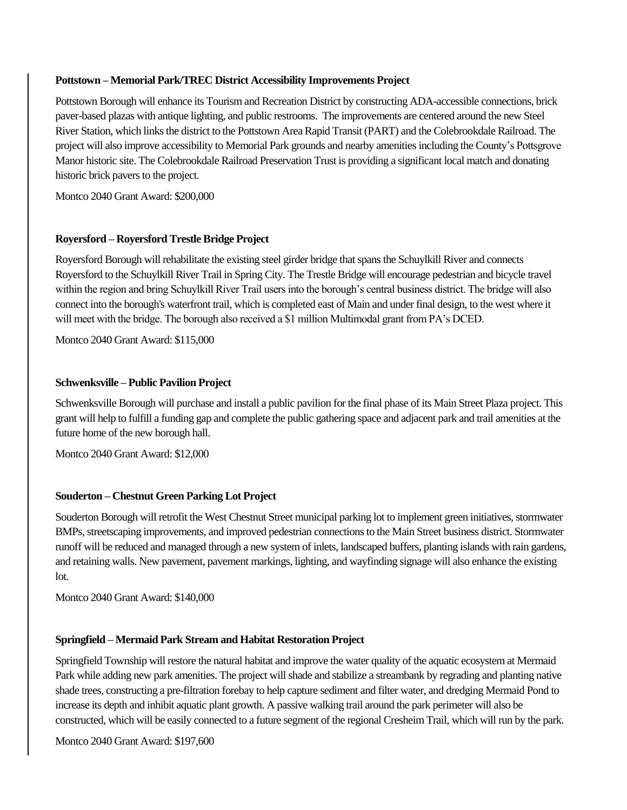#### **Pottstown – Memorial Park/TREC District Accessibility Improvements Project**

Pottstown Borough will enhance its Tourism and Recreation District by constructing ADA-accessible connections, brick paver-based plazas with antique lighting, and public restrooms. The improvements are centered around the new Steel River Station, which links the district to the Pottstown Area Rapid Transit (PART) and the Colebrookdale Railroad. The project will also improve accessibility to Memorial Park grounds and nearby amenities including the County's Pottsgrove Manor historic site. The Colebrookdale Railroad Preservation Trust is providing a significant local match and donating historic brick pavers to the project.

Montco 2040 Grant Award: \$200,000

#### **Royersford – Royersford Trestle Bridge Project**

Royersford Borough will rehabilitate the existing steel girder bridge that spans the Schuylkill River and connects Royersford to the Schuylkill River Trail in Spring City. The Trestle Bridge will encourage pedestrian and bicycle travel within the region and bring Schuylkill River Trail users into the borough's central business district. The bridge will also connect into the borough's waterfront trail, which is completed east of Main and under final design, to the west where it will meet with the bridge. The borough also received a \$1 million Multimodal grant from PA's DCED.

Montco 2040 Grant Award: \$115,000

#### **Schwenksville – Public Pavilion Project**

Schwenksville Borough will purchase and install a public pavilion for the final phase of its Main Street Plaza project. This grant will help to fulfill a funding gap and complete the public gathering space and adjacent park and trail amenities at the future home of the new borough hall.

Montco 2040 Grant Award: \$12,000

#### **Souderton – Chestnut Green Parking Lot Project**

Souderton Borough will retrofit the West Chestnut Street municipal parking lot to implement green initiatives, stormwater BMPs, streetscaping improvements, and improved pedestrian connections to the Main Street business district. Stormwater runoff will be reduced and managed through a new system of inlets, landscaped buffers, planting islands with rain gardens, and retaining walls. New pavement, pavement markings, lighting, and wayfinding signage will also enhance the existing  $1$ ot.

Montco 2040 Grant Award: \$140,000

#### **Springfield – Mermaid Park Stream and Habitat Restoration Project**

Springfield Township will restore the natural habitat and improve the water quality of the aquatic ecosystem at Mermaid Park while adding new park amenities. The project will shade and stabilize a streambank by regrading and planting native shade trees, constructing a pre-filtration forebay to help capture sediment and filter water, and dredging Mermaid Pond to increase its depth and inhibit aquatic plant growth. A passive walking trail around the park perimeter will also be constructed, which will be easily connected to a future segment of the regional Cresheim Trail, which will run by the park.

Montco 2040 Grant Award: \$197,600